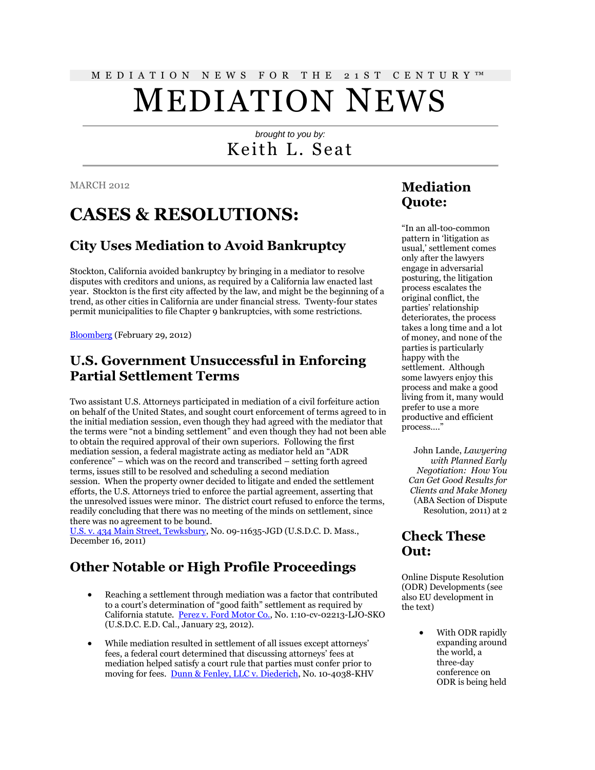# M E D I A T I O N N E W S F O R T H E 2 1 S T C E N T U R Y ™

# MEDIATION NEWS

## *brought to you by:* Keith L. Seat

MARCH 2012

## **CASES & RESOLUTIONS:**

### **City Uses Mediation to Avoid Bankruptcy**

Stockton, California avoided bankruptcy by bringing in a mediator to resolve disputes with creditors and unions, as required by a California law enacted last year. Stockton is the first city affected by the law, and might be the beginning of a trend, as other cities in California are under financial stress. Twenty-four states permit municipalities to file Chapter 9 bankruptcies, with some restrictions.

[Bloomberg](http://www.bloomberg.com/news/2012-02-29/stockton-voting-mediation-before-bankruptcy-may-be-followed-in-california.html) (February 29, 2012)

#### **U.S. Government Unsuccessful in Enforcing Partial Settlement Terms**

Two assistant U.S. Attorneys participated in mediation of a civil forfeiture action on behalf of the United States, and sought court enforcement of terms agreed to in the initial mediation session, even though they had agreed with the mediator that the terms were "not a binding settlement" and even though they had not been able to obtain the required approval of their own superiors. Following the first mediation session, a federal magistrate acting as mediator held an "ADR conference" – which was on the record and transcribed – setting forth agreed terms, issues still to be resolved and scheduling a second mediation session. When the property owner decided to litigate and ended the settlement efforts, the U.S. Attorneys tried to enforce the partial agreement, asserting that the unresolved issues were minor. The district court refused to enforce the terms, readily concluding that there was no meeting of the minds on settlement, since there was no agreement to be bound.

[U.S. v. 434 Main Street, Tewksbury,](http://scholar.google.com/scholar_case?case=14852221670386498053&hl=en&lr=lang_en&as_sdt=2,9&as_vis=1&oi=scholaralrt) No. 09-11635-JGD (U.S.D.C. D. Mass., December 16, 2011)

### **Other Notable or High Profile Proceedings**

- Reaching a settlement through mediation was a factor that contributed to a court's determination of "good faith" settlement as required by California statute. [Perez v. Ford Motor Co.,](http://scholar.google.com/scholar_case?case=10832892385815167854&hl=en&lr=lang_en&as_sdt=2,9&as_vis=1&oi=scholaralrt) No. 1:10-cv-02213-LJO-SKO (U.S.D.C. E.D. Cal., January 23, 2012).
- While mediation resulted in settlement of all issues except attorneys' fees, a federal court determined that discussing attorneys' fees at mediation helped satisfy a court rule that parties must confer prior to moving for fees. [Dunn & Fenley, LLC v. Diederich,](http://scholar.google.com/scholar_case?case=546713236889864641&hl=en&lr=lang_en&as_sdt=2,9&as_vis=1&oi=scholaralrt) No. 10-4038-KHV

### **Mediation Quote:**

"In an all-too-common pattern in 'litigation as usual,' settlement comes only after the lawyers engage in adversarial posturing, the litigation process escalates the original conflict, the parties' relationship deteriorates, the process takes a long time and a lot of money, and none of the parties is particularly happy with the settlement. Although some lawyers enjoy this process and make a good living from it, many would prefer to use a more productive and efficient process…."

John Lande, *Lawyering with Planned Early Negotiation: How You Can Get Good Results for Clients and Make Money*  (ABA Section of Dispute Resolution, 2011) at 2

#### **Check These Out:**

Online Dispute Resolution (ODR) Developments (see also EU development in the text)

> With ODR rapidly expanding around the world, a three-day conference on ODR is being held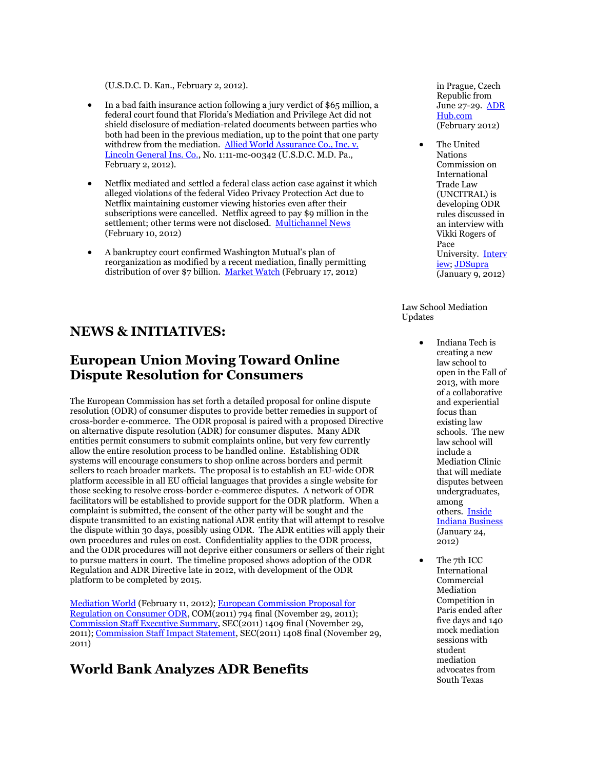(U.S.D.C. D. Kan., February 2, 2012).

- In a bad faith insurance action following a jury verdict of \$65 million, a federal court found that Florida's Mediation and Privilege Act did not shield disclosure of mediation-related documents between parties who both had been in the previous mediation, up to the point that one party withdrew from the mediation. Allied World Assurance Co., Inc. v. [Lincoln General Ins. Co.,](http://scholar.google.com/scholar_case?case=3486014664977904379&hl=en&lr=lang_en&as_sdt=2,9&as_vis=1&oi=scholaralrt) No. 1:11-mc-00342 (U.S.D.C. M.D. Pa., February 2, 2012).
- Netflix mediated and settled a federal class action case against it which alleged violations of the federal Video Privacy Protection Act due to Netflix maintaining customer viewing histories even after their subscriptions were cancelled. Netflix agreed to pay \$9 million in the settlement; other terms were not disclosed. [Multichannel News](http://www.multichannel.com/article/480389-Netflix_Settles_Class_Action_Video_Privacy_Lawsuit_For_9_Million.php) (February 10, 2012)
- A bankruptcy court confirmed Washington Mutual's plan of reorganization as modified by a recent mediation, finally permitting distribution of over \$7 billion. [Market Watch](http://www.marketwatch.com/story/washington-mutual-inc-announces-confirmation-of-plan-of-reorganization-2012-02-17) (February 17, 2012)

#### **NEWS & INITIATIVES:**

#### **European Union Moving Toward Online Dispute Resolution for Consumers**

The European Commission has set forth a detailed proposal for online dispute resolution (ODR) of consumer disputes to provide better remedies in support of cross-border e-commerce. The ODR proposal is paired with a proposed Directive on alternative dispute resolution (ADR) for consumer disputes. Many ADR entities permit consumers to submit complaints online, but very few currently allow the entire resolution process to be handled online. Establishing ODR systems will encourage consumers to shop online across borders and permit sellers to reach broader markets. The proposal is to establish an EU-wide ODR platform accessible in all EU official languages that provides a single website for those seeking to resolve cross-border e-commerce disputes. A network of ODR facilitators will be established to provide support for the ODR platform. When a complaint is submitted, the consent of the other party will be sought and the dispute transmitted to an existing national ADR entity that will attempt to resolve the dispute within 30 days, possibly using ODR. The ADR entities will apply their own procedures and rules on cost. Confidentiality applies to the ODR process, and the ODR procedures will not deprive either consumers or sellers of their right to pursue matters in court. The timeline proposed shows adoption of the ODR Regulation and ADR Directive late in 2012, with development of the ODR platform to be completed by 2015.

[Mediation World](http://www.mediationworld.net/european-union/publications/full/106.html) (February 11, 2012)[; European Commission Proposal for](http://tinyurl.com/7uwxhcx)  [Regulation on Consumer ODR,](http://tinyurl.com/7uwxhcx) COM(2011) 794 final (November 29, 2011); Commission Staff [Executive Summary,](http://tinyurl.com/7or3gmv) SEC(2011) 1409 final (November 29, 2011)[; Commission Staff Impact Statement,](http://tinyurl.com/7r73xou) SEC(2011) 1408 final (November 29, 2011)

#### **World Bank Analyzes ADR Benefits**

in Prague, Czech Republic from June 27-29. [ADR](http://www.adrhub.com/forum/topics/2012-online-dispute-resolution-conference?xg_source=activity)  [Hub.com](http://www.adrhub.com/forum/topics/2012-online-dispute-resolution-conference?xg_source=activity) (February 2012)

 The United Nations Commission on International Trade Law (UNCITRAL) is developing ODR rules discussed in an interview with Vikki Rogers of Pace University. [Interv](http://www.jdsupra.com/post/fileServer.aspx?fName=e79feab9-37df-4f9e-8240-57d54c0a41e1.pdf) [iew;](http://www.jdsupra.com/post/fileServer.aspx?fName=e79feab9-37df-4f9e-8240-57d54c0a41e1.pdf) [JDSupra](http://www.jdsupra.com/post/documentViewer.aspx?fid=e79feab9-37df-4f9e-8240-57d54c0a41e1) (January 9, 2012)

Law School Mediation Updates

- Indiana Tech is creating a new law school to open in the Fall of 2013, with more of a collaborative and experiential focus than existing law schools. The new law school will include a Mediation Clinic that will mediate disputes between undergraduates, among others. [Inside](http://www.insideindianabusiness.com/newsitem.asp?ID=51847)  [Indiana Business](http://www.insideindianabusiness.com/newsitem.asp?ID=51847) (January 24, 2012)
- The 7th ICC International Commercial Mediation Competition in Paris ended after five days and 140 mock mediation sessions with student mediation advocates from South Texas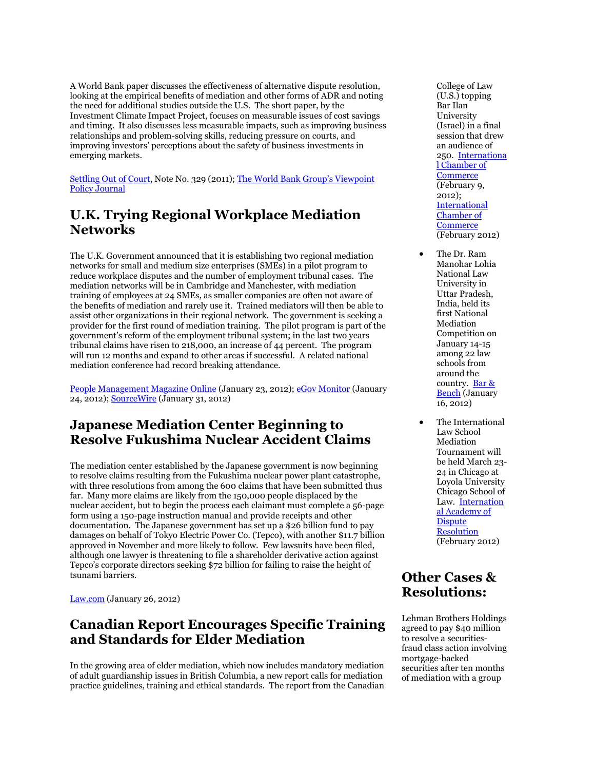A World Bank paper discusses the effectiveness of alternative dispute resolution, looking at the empirical benefits of mediation and other forms of ADR and noting the need for additional studies outside the U.S. The short paper, by the Investment Climate Impact Project, focuses on measurable issues of cost savings and timing. It also discusses less measurable impacts, such as improving business relationships and problem-solving skills, reducing pressure on courts, and improving investors' perceptions about the safety of business investments in emerging markets.

[Settling Out of Court,](http://siteresources.worldbank.org/FINANCIALSECTOR/Resources/282044-1307652042357/VP329-Setting-out-of-court.pdf) Note No. 329 (2011); The World Bank Group's Viewpoint [Policy Journal](http://web.worldbank.org/WBSITE/EXTERNAL/TOPICS/EXTFINANCIALSECTOR/0,,contentMDK:22892159~menuPK:7908662~pagePK:210058~piPK:210062~theSitePK:282885,00.html)

#### **U.K. Trying Regional Workplace Mediation Networks**

The U.K. Government announced that it is establishing two regional mediation networks for small and medium size enterprises (SMEs) in a pilot program to reduce workplace disputes and the number of employment tribunal cases. The mediation networks will be in Cambridge and Manchester, with mediation training of employees at 24 SMEs, as smaller companies are often not aware of the benefits of mediation and rarely use it. Trained mediators will then be able to assist other organizations in their regional network. The government is seeking a provider for the first round of mediation training. The pilot program is part of the government's reform of the employment tribunal system; in the last two years tribunal claims have risen to 218,000, an increase of 44 percent. The program will run 12 months and expand to other areas if successful. A related national mediation conference had record breaking attendance.

[People Management Magazine Online](http://www.peoplemanagement.co.uk/pm/articles/2012/01/government-to-pilot-regional-mediation-networks-for-smes.htm) (January 23, 2012)[; eGov Monitor](http://www.egovmonitor.com/node/45606) (January 24, 2012)[; SourceWire](http://www.sourcewire.com/releases/rel_display.php?relid=69885) (January 31, 2012)

#### **Japanese Mediation Center Beginning to Resolve Fukushima Nuclear Accident Claims**

The mediation center established by the Japanese government is now beginning to resolve claims resulting from the Fukushima nuclear power plant catastrophe, with three resolutions from among the 600 claims that have been submitted thus far. Many more claims are likely from the 150,000 people displaced by the nuclear accident, but to begin the process each claimant must complete a 56-page form using a 150-page instruction manual and provide receipts and other documentation. The Japanese government has set up a \$26 billion fund to pay damages on behalf of Tokyo Electric Power Co. (Tepco), with another \$11.7 billion approved in November and more likely to follow. Few lawsuits have been filed, although one lawyer is threatening to file a shareholder derivative action against Tepco's corporate directors seeking \$72 billion for failing to raise the height of tsunami barriers.

[Law.com](http://www.law.com/jsp/article.jsp?id=1202540087107&The_Legal_Aftershocks_of_Fukushima&slreturn=1) (January 26, 2012)

#### **Canadian Report Encourages Specific Training and Standards for Elder Mediation**

In the growing area of elder mediation, which now includes mandatory mediation of adult guardianship issues in British Columbia, a new report calls for mediation practice guidelines, training and ethical standards. The report from the Canadian College of Law (U.S.) topping Bar Ilan University (Israel) in a final session that drew an audience of 250. [Internationa](http://www.iccwbo.org/index.html?id=47401) [l Chamber of](http://www.iccwbo.org/index.html?id=47401)  **[Commerce](http://www.iccwbo.org/index.html?id=47401)** (February 9, 2012); [International](http://www.iccwbo.org/court/adr/id43685/index.html)  [Chamber of](http://www.iccwbo.org/court/adr/id43685/index.html)  **[Commerce](http://www.iccwbo.org/court/adr/id43685/index.html)** (February 2012)

- The Dr. Ram Manohar Lohia National Law University in Uttar Pradesh, India, held its first National Mediation Competition on January 14-15 among 22 law schools from around the country. [Bar &](http://barandbench.com/brief/9/1975/rmlnlu-holds-1st-national-mediation-competition-clc-students-declared-winners) [Bench](http://barandbench.com/brief/9/1975/rmlnlu-holds-1st-national-mediation-competition-clc-students-declared-winners) (January 16, 2012)
- The International Law School Mediation Tournament will be held March 23- 24 in Chicago at Loyola University Chicago School of Law. [Internation](http://www.inadr.org/activities/1) [al Academy of](http://www.inadr.org/activities/1)  **Dispute** [Resolution](http://www.inadr.org/activities/1) (February 2012)

#### **Other Cases & Resolutions:**

Lehman Brothers Holdings agreed to pay \$40 million to resolve a securitiesfraud class action involving mortgage-backed securities after ten months of mediation with a group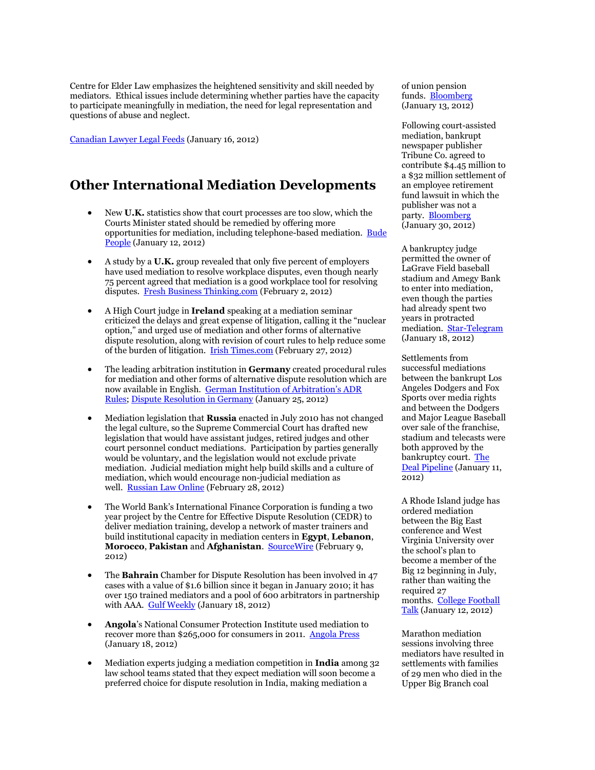Centre for Elder Law emphasizes the heightened sensitivity and skill needed by mediators. Ethical issues include determining whether parties have the capacity to participate meaningfully in mediation, the need for legal representation and questions of abuse and neglect.

[Canadian Lawyer Legal Feeds](http://www.canadianlawyermag.com/legalfeeds/652/Report-calls-for-training-standards-in-elder-mediation.html) (January 16, 2012)

#### **Other International Mediation Developments**

- New **U.K.** statistics show that court processes are too slow, which the Courts Minister stated should be remedied by offering more opportunities for mediation, including telephone-based mediation. [Bude](http://www.budepeople.co.uk/s-Official-Court-Cases-Long/story-14402870-detail/story.html)  [People](http://www.budepeople.co.uk/s-Official-Court-Cases-Long/story-14402870-detail/story.html) (January 12, 2012)
- A study by a **U.K.** group revealed that only five percent of employers have used mediation to resolve workplace disputes, even though nearly 75 percent agreed that mediation is a good workplace tool for resolving disputes. [Fresh Business Thinking.com](http://www.freshbusinessthinking.com/news.php?NID=12582&Title=Mediation+is+key+to+workplace+dispute+resolution%2C+say+Acas) (February 2, 2012)
- A High Court judge in **Ireland** speaking at a mediation seminar criticized the delays and great expense of litigation, calling it the "nuclear option," and urged use of mediation and other forms of alternative dispute resolution, along with revision of court rules to help reduce some of the burden of litigation. [Irish Times.com](http://www.irishtimes.com/newspaper/ireland/2012/0227/1224312439601.html) (February 27, 2012)
- The leading arbitration institution in **Germany** created procedural rules for mediation and other forms of alternative dispute resolution which are now available in English. [German Institution of Arbitration's ADR](http://www.dis-arb.de/en/16/regeln/uebersicht-id0)  [Rules;](http://www.dis-arb.de/en/16/regeln/uebersicht-id0) [Dispute Resolution in Germany](http://www.disputeresolutiongermany.com/2012/01/german-arbitration-institutions-suite-of-adr-rules-now-available-in-english/#more-595) (January 25, 2012)
- Mediation legislation that **Russia** enacted in July 2010 has not changed the legal culture, so the Supreme Commercial Court has drafted new legislation that would have assistant judges, retired judges and other court personnel conduct mediations. Participation by parties generally would be voluntary, and the legislation would not exclude private mediation. Judicial mediation might help build skills and a culture of mediation, which would encourage non-judicial mediation as well. [Russian Law Online](http://www.russianlawonline.com/content/summary-proceedings-%E2%80%98judicial-mediation%E2%80%99-commercial-courts) (February 28, 2012)
- The World Bank's International Finance Corporation is funding a two year project by the Centre for Effective Dispute Resolution (CEDR) to deliver mediation training, develop a network of master trainers and build institutional capacity in mediation centers in **Egypt**, **Lebanon**, **Morocco**, **Pakistan** and **Afghanistan**. [SourceWire](http://www.sourcewire.com/releases/rel_display.php?relid=70085) (February 9, 2012)
- The **Bahrain** Chamber for Dispute Resolution has been involved in 47 cases with a value of \$1.6 billion since it began in January 2010; it has over 150 trained mediators and a pool of 600 arbitrators in partnership with AAA. [Gulf Weekly](http://www.gulfweeklyworldwide.com/Articles.aspx?articleid=28142) (January 18, 2012)
- **Angola**'s National Consumer Protection Institute used mediation to recover more than \$265,000 for consumers in 2011. [Angola Press](http://www.portalangop.co.ao/motix/en_us/noticias/economia/2012/0/3/Inadec-helps-consumers-recover-Akz-million,4df0de66-e260-46a8-a831-cae8990e24ea.html) (January 18, 2012)
- Mediation experts judging a mediation competition in **India** among 32 law school teams stated that they expect mediation will soon become a preferred choice for dispute resolution in India, making mediation a

of union pension funds. [Bloomberg](http://www.bloomberg.com/news/2012-01-13/lehman-settles-securities-class-action-for-40-million-1-.html) (January 13, 2012)

Following court-assisted mediation, bankrupt newspaper publisher Tribune Co. agreed to contribute \$4.45 million to a \$32 million settlement of an employee retirement fund lawsuit in which the publisher was not a party. [Bloomberg](http://www.bloomberg.com/news/2012-01-30/tribune-workers-32-million-settlement-over-retirement-fund-wins-approval.html) (January 30, 2012)

A bankruptcy judge permitted the owner of LaGrave Field baseball stadium and Amegy Bank to enter into mediation, even though the parties had already spent two years in protracted mediation. [Star-Telegram](http://www.star-telegram.com/2012/01/18/3669801/judge-oks-mediation-in-lagrave.html) (January 18, 2012)

Settlements from successful mediations between the bankrupt Los Angeles Dodgers and Fox Sports over media rights and between the Dodgers and Major League Baseball over sale of the franchise, stadium and telecasts were both approved by the bankruptcy court. [The](http://www.thedeal.com/content/restructuring/dodgers-win-approval-for-two-vital-settlements.php)  [Deal Pipeline](http://www.thedeal.com/content/restructuring/dodgers-win-approval-for-two-vital-settlements.php) (January 11, 2012)

A Rhode Island judge has ordered mediation between the Big East conference and West Virginia University over the school's plan to become a member of the Big 12 beginning in July, rather than waiting the required 27 months. College Football [Talk](http://collegefootballtalk.nbcsports.com/2012/01/12/non-binding-mediation-on-the-agenda-for-big-east-wvu/) (January 12, 2012)

Marathon mediation sessions involving three mediators have resulted in settlements with families of 29 men who died in the Upper Big Branch coal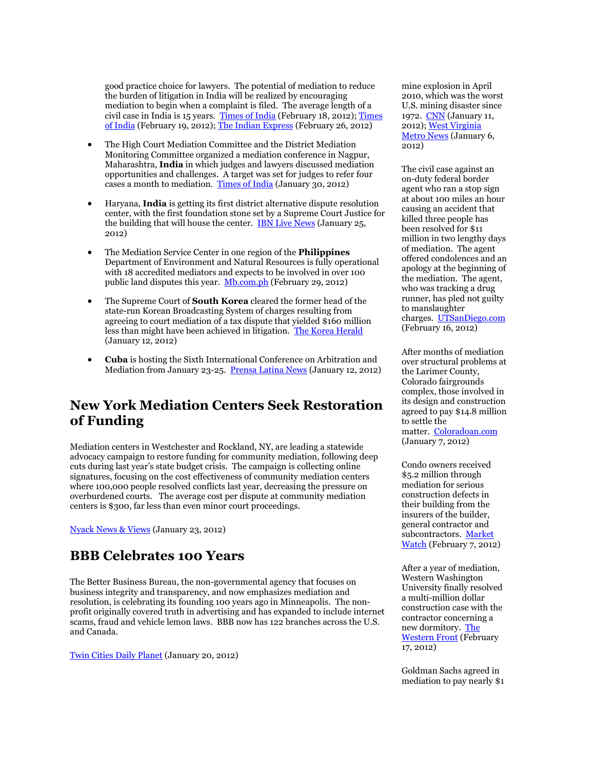good practice choice for lawyers. The potential of mediation to reduce the burden of litigation in India will be realized by encouraging mediation to begin when a complaint is filed. The average length of a civil case in India is 15 years. [Times of India](http://articles.timesofindia.indiatimes.com/2012-02-18/bhopal/31074726_1_preferred-choice-mediation-business-dispute-resolution) (February 18, 2012)[; Times](http://articles.timesofindia.indiatimes.com/2012-02-19/bhopal/31076963_1_mediation-conciliation-expert)  [of India](http://articles.timesofindia.indiatimes.com/2012-02-19/bhopal/31076963_1_mediation-conciliation-expert) (February 19, 2012)[; The Indian Express](http://www.indianexpress.com/news/-Civil-courts-need-timetable-to-dispose-of-cases-faster-/916719/) (February 26, 2012)

- The High Court Mediation Committee and the District Mediation Monitoring Committee organized a mediation conference in Nagpur, Maharashtra, **India** in which judges and lawyers discussed mediation opportunities and challenges. A target was set for judges to refer four cases a month to mediation. [Times of India](http://articles.timesofindia.indiatimes.com/2012-01-30/nagpur/31005016_1_senior-judges-mediation-process-mediation-system) (January 30, 2012)
- Haryana, **India** is getting its first district alternative dispute resolution center, with the first foundation stone set by a Supreme Court Justice for the building that will house the center. [IBN Live News](http://ibnlive.in.com/generalnewsfeed/news/haryana-to-have-alternative-dispute-resolution-centre/955632.html) (January 25, 2012)
- The Mediation Service Center in one region of the **Philippines** Department of Environment and Natural Resources is fully operational with 18 accredited mediators and expects to be involved in over 100 public land disputes this year. [Mb.com.ph](http://www.mb.com.ph/articles/352856/denr7-to-probe-land-cases) (February 29, 2012)
- The Supreme Court of **South Korea** cleared the former head of the state-run Korean Broadcasting System of charges resulting from agreeing to court mediation of a tax dispute that yielded \$160 million less than might have been achieved in litigation. [The Korea Herald](http://www.koreaherald.com/national/Detail.jsp?newsMLId=20120112000807) (January 12, 2012)
- **Cuba** is hosting the Sixth International Conference on Arbitration and Mediation from January 23-25. [Prensa Latina News](http://www.plenglish.com/index.php?option=com_content&task=view&id=467332&Itemid=1) (January 12, 2012)

#### **New York Mediation Centers Seek Restoration of Funding**

Mediation centers in Westchester and Rockland, NY, are leading a statewide advocacy campaign to restore funding for community mediation, following deep cuts during last year's state budget crisis. The campaign is collecting online signatures, focusing on the cost effectiveness of community mediation centers where 100,000 people resolved conflicts last year, decreasing the pressure on overburdened courts. The average cost per dispute at community mediation centers is \$300, far less than even minor court proceedings.

[Nyack News & Views](http://www.nyacknewsandviews.com/2012/01/kk_mediationadvocacy/) (January 23, 2012)

#### **BBB Celebrates 100 Years**

The Better Business Bureau, the non-governmental agency that focuses on business integrity and transparency, and now emphasizes mediation and resolution, is celebrating its founding 100 years ago in Minneapolis. The nonprofit originally covered truth in advertising and has expanded to include internet scams, fraud and vehicle lemon laws. BBB now has 122 branches across the U.S. and Canada.

[Twin Cities Daily Planet](http://www.tcdailyplanet.net/news/2012/01/17/launched-minneapolis-bbb-marks-100-years) (January 20, 2012)

mine explosion in April 2010, which was the worst U.S. mining disaster since 1972. [CNN](http://www.cnn.com/2012/01/11/us/west-virginia-mine-disaster/index.html) (January 11, 2012)[; West Virginia](http://www.wvmetronews.com/news.cfm?func=displayfullstory&storyid=50172)  [Metro News](http://www.wvmetronews.com/news.cfm?func=displayfullstory&storyid=50172) (January 6, 2012)

The civil case against an on-duty federal border agent who ran a stop sign at about 100 miles an hour causing an accident that killed three people has been resolved for \$11 million in two lengthy days of mediation. The agent offered condolences and an apology at the beginning of the mediation. The agent, who was tracking a drug runner, has pled not guilty to manslaughter charges. [UTSanDiego.com](http://www.utsandiego.com/news/2012/feb/17/tp-families-settle-for-11-million-in-crash-with/?page=1#article) (February 16, 2012)

After months of mediation over structural problems at the Larimer County, Colorado fairgrounds complex, those involved in its design and construction agreed to pay \$14.8 million to settle the matter. [Coloradoan.com](http://www.coloradoan.com/article/20120107/NEWS01/201070343/The-Ranch-reaches-out-court-deal-14-8M?odyssey=tab|topnews|text|FRONTPAGE) (January 7, 2012)

Condo owners received \$5.2 million through mediation for serious construction defects in their building from the insurers of the builder, general contractor and subcontractors. [Market](http://www.marketwatch.com/story/candlestick-condo-owners-recover-52-million-for-life-safety-dangers-and-faulty-construction-2012-02-07)  [Watch](http://www.marketwatch.com/story/candlestick-condo-owners-recover-52-million-for-life-safety-dangers-and-faulty-construction-2012-02-07) (February 7, 2012)

After a year of mediation, Western Washington University finally resolved a multi-million dollar construction case with the contractor concerning a new dormitory. [The](http://westernfrontonline.net/news/14334-university-settles-with-bt-east-contractor)  [Western Front](http://westernfrontonline.net/news/14334-university-settles-with-bt-east-contractor) (February 17, 2012)

Goldman Sachs agreed in mediation to pay nearly \$1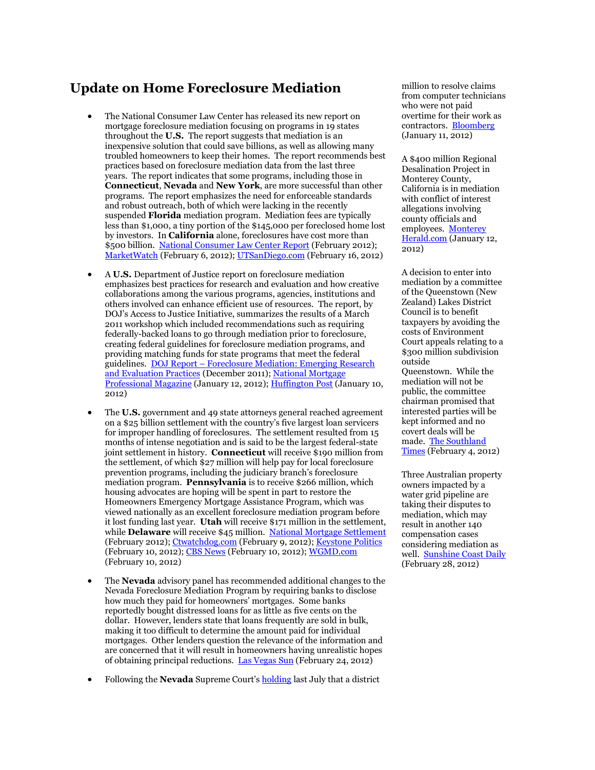#### **Update on Home Foreclosure Mediation**

- The National Consumer Law Center has released its new report on mortgage foreclosure mediation focusing on programs in 19 states throughout the **U.S.** The report suggests that mediation is an inexpensive solution that could save billions, as well as allowing many troubled homeowners to keep their homes. The report recommends best practices based on foreclosure mediation data from the last three years. The report indicates that some programs, including those in **Connecticut**, **Nevada** and **New York**, are more successful than other programs. The report emphasizes the need for enforceable standards and robust outreach, both of which were lacking in the recently suspended **Florida** mediation program. Mediation fees are typically less than \$1,000, a tiny portion of the \$145,000 per foreclosed home lost by investors. In **California** alone, foreclosures have cost more than \$500 billion. [National Consumer Law Center Report](http://www.nclc.org/foreclosures-and-mortgages/rebuilding-america.html) (February 2012); [MarketWatch](http://www.marketwatch.com/story/foreclosure-mediation-can-save-millions-of-homes-and-taxpayer-money-2012-02-06) (February 6, 2012); [UTSanDiego.com](http://www.utsandiego.com/news/2012/feb/16/foreclosure-mediation-could-save-billions/?page=1#article) (February 16, 2012)
- A **U.S.** Department of Justice report on foreclosure mediation emphasizes best practices for research and evaluation and how creative collaborations among the various programs, agencies, institutions and others involved can enhance efficient use of resources. The report, by DOJ's Access to Justice Initiative, summarizes the results of a March 2011 workshop which included recommendations such as requiring federally-backed loans to go through mediation prior to foreclosure, creating federal guidelines for foreclosure mediation programs, and providing matching funds for state programs that meet the federal guidelines. DOJ Report – [Foreclosure Mediation: Emerging Research](http://tinyurl.com/7egfyn6)  [and Evaluation Practices](http://tinyurl.com/7egfyn6) (December 2011); [National Mortgage](http://nationalmortgageprofessional.com/news27938/justice-department-releases-report-assist-foreclosure-mediation-programs)  [Professional Magazine](http://nationalmortgageprofessional.com/news27938/justice-department-releases-report-assist-foreclosure-mediation-programs) (January 12, 2012); [Huffington Post](http://www.huffingtonpost.com/2012/01/10/justice-department-foreclosure-mediation_n_1197603.html) (January 10, 2012)
- The **U.S.** government and 49 state attorneys general reached agreement on a \$25 billion settlement with the country's five largest loan servicers for improper handling of foreclosures. The settlement resulted from 15 months of intense negotiation and is said to be the largest federal-state joint settlement in history. **Connecticut** will receive \$190 million from the settlement, of which \$27 million will help pay for local foreclosure prevention programs, including the judiciary branch's foreclosure mediation program. **Pennsylvania** is to receive \$266 million, which housing advocates are hoping will be spent in part to restore the Homeowners Emergency Mortgage Assistance Program, which was viewed nationally as an excellent foreclosure mediation program before it lost funding last year. **Utah** will receive \$171 million in the settlement, while **Delaware** will receive \$45 million. [National Mortgage Settlement](http://nationalmortgagesettlement.com/) (February 2012)[; Ctwatchdog.com](http://ctwatchdog.com/finance/connecticut-homeowners-to-receive-190-million-as-part-of-bank-foreclosure-settlement) (February 9, 2012)[; Keystone Politics](http://www.keystonepolitics.com/2012/02/use-mortgage-settlement-money-to-bring-back-hemap/) (February 10, 2012)[; CBS News](http://www.cbsnews.com/8301-505245_162-57374561/utah-gets-$171m-in-national-mortgage-settlement/) (February 10, 2012); [WGMD.com](http://www.wgmd.com/?p=47802&cpage=1) (February 10, 2012)
- The **Nevada** advisory panel has recommended additional changes to the Nevada Foreclosure Mediation Program by requiring banks to disclose how much they paid for homeowners' mortgages. Some banks reportedly bought distressed loans for as little as five cents on the dollar. However, lenders state that loans frequently are sold in bulk, making it too difficult to determine the amount paid for individual mortgages. Other lenders question the relevance of the information and are concerned that it will result in homeowners having unrealistic hopes of obtaining principal reductions. [Las Vegas Sun](http://www.lasvegassun.com/news/2012/feb/24/committee-homeowners-facing-foreclosure-should-kno/) (February 24, 2012)
- Following the **Nevada** Supreme Court's [holding](http://scholar.google.com/scholar_case?case=2109124006527218203&hl=en&lr=lang_en&as_sdt=2,9&as_vis=1&oi=scholaralrt&ct=alrt&cd=6) last July that a district

million to resolve claims from computer technicians who were not paid overtime for their work as contractors. [Bloomberg](http://www.bloomberg.com/news/2012-01-11/goldman-sachs-computer-technicians-reach-settlement-in-overtime-pay-suit.html) (January 11, 2012)

A \$400 million Regional Desalination Project in Monterey County, California is in mediation with conflict of interest allegations involving county officials and employees. [Monterey](http://www.montereyherald.com/news/ci_19726484)  [Herald.com](http://www.montereyherald.com/news/ci_19726484) (January 12, 2012)

A decision to enter into mediation by a committee of the Queenstown (New Zealand) Lakes District Council is to benefit taxpayers by avoiding the costs of Environment Court appeals relating to a \$300 million subdivision outside Queenstown. While the mediation will not be public, the committee chairman promised that interested parties will be kept informed and no covert deals will be made. [The Southland](http://www.stuff.co.nz/southland-times/news/6365193/Mediation-on-300m-plan-not-sinister)  [Times](http://www.stuff.co.nz/southland-times/news/6365193/Mediation-on-300m-plan-not-sinister) (February 4, 2012)

Three Australian property owners impacted by a water grid pipeline are taking their disputes to mediation, which may result in another 140 compensation cases considering mediation as well. [Sunshine Coast Daily](http://www.sunshinecoastdaily.com.au/story/2012/02/28/owners-head-for-mediation/) (February 28, 2012)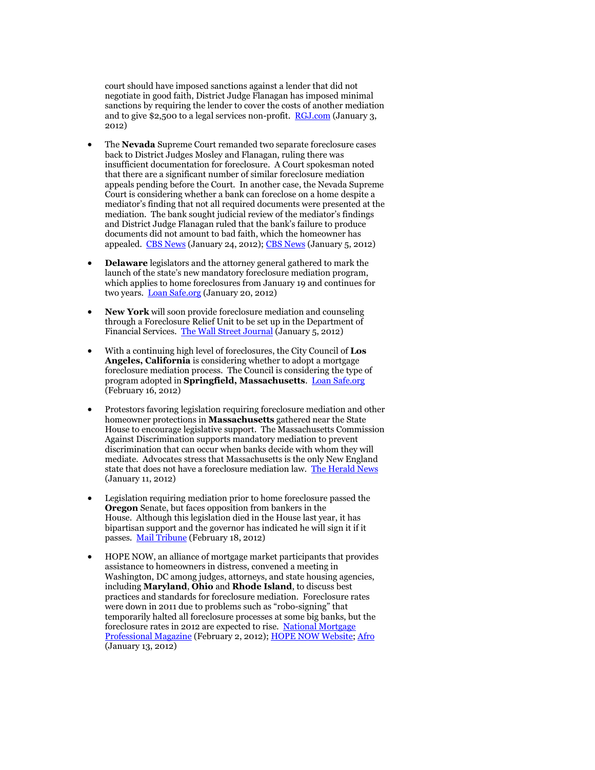court should have imposed sanctions against a lender that did not negotiate in good faith, District Judge Flanagan has imposed minimal sanctions by requiring the lender to cover the costs of another mediation and to give \$2,500 to a legal services non-profit. [RGJ.com](http://www.rgj.com/article/20120103/BIZ/120103002/RGJ-Only-Print-Court-victory-foreclosure-mediation-rings-hollow-homeowners) (January 3, 2012)

- The **Nevada** Supreme Court remanded two separate foreclosure cases back to District Judges Mosley and Flanagan, ruling there was insufficient documentation for foreclosure. A Court spokesman noted that there are a significant number of similar foreclosure mediation appeals pending before the Court. In another case, the Nevada Supreme Court is considering whether a bank can foreclose on a home despite a mediator's finding that not all required documents were presented at the mediation. The bank sought judicial review of the mediator's findings and District Judge Flanagan ruled that the bank's failure to produce documents did not amount to bad faith, which the homeowner has appealed. [CBS News](http://www.cbsnews.com/8301-505245_162-57365237/nevada-court-lenders-must-have-foreclosure-papers/) (January 24, 2012); [CBS News](http://www.cbsnews.com/8301-505245_162-57352849/nevada-supreme-court-takes-up-foreclosure-case/) (January 5, 2012)
- **Delaware** legislators and the attorney general gathered to mark the launch of the state's new mandatory foreclosure mediation program, which applies to home foreclosures from January 19 and continues for two years. **[Loan Safe.org](http://www.loansafe.org/attorney-general-biden-and-legislators-mark-launch-of-new-foreclosure-mediation-program)** (January 20, 2012)
- **New York** will soon provide foreclosure mediation and counseling through a Foreclosure Relief Unit to be set up in the Department of Financial Services. [The Wall Street Journal](http://online.wsj.com/article/AP78383b55a5d647538cd916ba27bd274b.html) (January 5, 2012)
- With a continuing high level of foreclosures, the City Council of **Los Angeles, California** is considering whether to adopt a mortgage foreclosure mediation process. The Council is considering the type of program adopted in **Springfield, Massachusetts**. [Loan Safe.org](http://www.loansafe.org/brief-l-a-weighs-creating-foreclosure-mediation-plan) (February 16, 2012)
- Protestors favoring legislation requiring foreclosure mediation and other homeowner protections in **Massachusetts** gathered near the State House to encourage legislative support. The Massachusetts Commission Against Discrimination supports mandatory mediation to prevent discrimination that can occur when banks decide with whom they will mediate. Advocates stress that Massachusetts is the only New England state that does not have a foreclosure mediation law. [The Herald News](http://www.heraldnews.com/state/x117255522/VIDEO-Protesters-rip-banks-call-for-mediation-with-homeowners) (January 11, 2012)
- Legislation requiring mediation prior to home foreclosure passed the **Oregon** Senate, but faces opposition from bankers in the House. Although this legislation died in the House last year, it has bipartisan support and the governor has indicated he will sign it if it passes. [Mail Tribune](http://www.mailtribune.com/apps/pbcs.dll/article?AID=/20120218/NEWS/202180316/-1/NEWSMAP) (February 18, 2012)
- HOPE NOW, an alliance of mortgage market participants that provides assistance to homeowners in distress, convened a meeting in Washington, DC among judges, attorneys, and state housing agencies, including **Maryland**, **Ohio** and **Rhode Island**, to discuss best practices and standards for foreclosure mediation. Foreclosure rates were down in 2011 due to problems such as "robo-signing" that temporarily halted all foreclosure processes at some big banks, but the foreclosure rates in 2012 are expected to rise. National Mortgage [Professional Magazine](http://nationalmortgageprofessional.com/news28233/hope-now-steps-foreclosure-mediation-efforts-military-homeowners) (February 2, 2012); [HOPE NOW Website;](http://www.hopenow.com/hopenow-aboutus.php) [Afro](http://www.afro.com/sections/news/afro_briefs/story.htm?storyid=73745) (January 13, 2012)